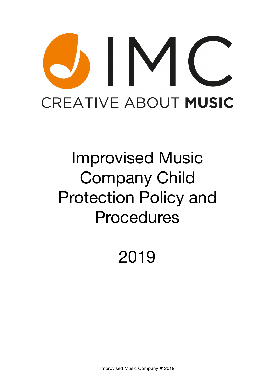# $\mathsf{IV}$ **CREATIVE ABOUT MUSIC**

# Improvised Music Company Child Protection Policy and Procedures

2019

Improvised Music Company ♥ 2019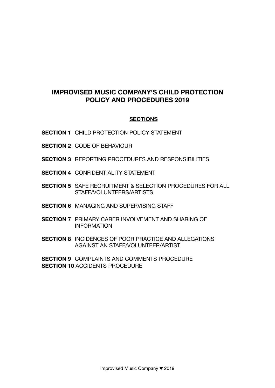# **IMPROVISED MUSIC COMPANY'S CHILD PROTECTION POLICY AND PROCEDURES 2019**

#### **SECTIONS**

- **SECTION 1** CHILD PROTECTION POLICY STATEMENT
- **SECTION 2** CODE OF BEHAVIOUR
- **SECTION 3** REPORTING PROCEDURES AND RESPONSIBILITIES
- **SECTION 4** CONFIDENTIALITY STATEMENT
- **SECTION 5** SAFE RECRUITMENT & SELECTION PROCEDURES FOR ALL STAFF/VOLUNTEERS/ARTISTS
- **SECTION 6** MANAGING AND SUPERVISING STAFF
- **SECTION 7** PRIMARY CARER INVOLVEMENT AND SHARING OF INFORMATION
- **SECTION 8** INCIDENCES OF POOR PRACTICE AND ALLEGATIONS AGAINST AN STAFF/VOLUNTEER/ARTIST

**SECTION 9** COMPLAINTS AND COMMENTS PROCEDURE **SECTION 10 ACCIDENTS PROCEDURE**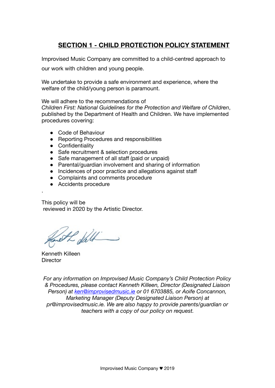# **SECTION 1 - CHILD PROTECTION POLICY STATEMENT**

Improvised Music Company are committed to a child-centred approach to our work with children and young people.

We undertake to provide a safe environment and experience, where the welfare of the child/young person is paramount.

We will adhere to the recommendations of *Children First: National Guidelines for the Protection and Welfare of Children*, published by the Department of Health and Children. We have implemented procedures covering:

- Code of Behaviour
- Reporting Procedures and responsibilities
- Confidentiality
- Safe recruitment & selection procedures
- Safe management of all staff (paid or unpaid)
- Parental/guardian involvement and sharing of information
- Incidences of poor practice and allegations against staff
- Complaints and comments procedure
- Accidents procedure

This policy will be reviewed in 2020 by the Artistic Director.

Al fell

Kenneth Killeen **Director** 

.

*For any information on Improvised Music Company's Child Protection Policy & Procedures, please contact Kenneth Killeen, Director (Designated Liaison Person) at [ken@improvisedmusic.ie](mailto:avrilryan@ark.ie) or 01 6703885, or Aoife Concannon, Marketing Manager (Deputy Designated Liaison Person) at pr@improvisedmusic.ie. We are also happy to provide parents/guardian or teachers with a copy of our policy on request.*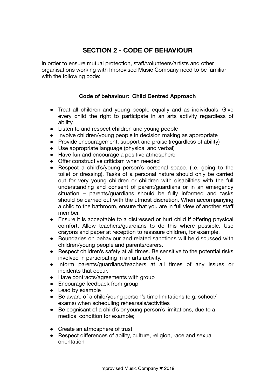# **SECTION 2 - CODE OF BEHAVIOUR**

In order to ensure mutual protection, staff/volunteers/artists and other organisations working with Improvised Music Company need to be familiar with the following code:

#### **Code of behaviour: Child Centred Approach**

- Treat all children and young people equally and as individuals. Give every child the right to participate in an arts activity regardless of ability.
- Listen to and respect children and young people
- Involve children/young people in decision making as appropriate
- Provide encouragement, support and praise (regardless of ability)
- Use appropriate language (physical and verbal)
- Have fun and encourage a positive atmosphere
- Offer constructive criticism when needed
- Respect a child's/young person's personal space. (i.e. going to the toilet or dressing). Tasks of a personal nature should only be carried out for very young children or children with disabilities with the full understanding and consent of parent/guardians or in an emergency situation – parents/guardians should be fully informed and tasks should be carried out with the utmost discretion. When accompanying a child to the bathroom, ensure that you are in full view of another staff member.
- Ensure it is acceptable to a distressed or hurt child if offering physical comfort. Allow teachers/guardians to do this where possible. Use crayons and paper at reception to reassure children, for example.
- Boundaries on behaviour and related sanctions will be discussed with children/young people and parents/carers.
- Respect children's safety at all times. Be sensitive to the potential risks involved in participating in an arts activity.
- Inform parents/guardians/teachers at all times of any issues or incidents that occur.
- Have contracts/agreements with group
- Encourage feedback from group
- Lead by example
- Be aware of a child/voung person's time limitations (e.g. school/ exams) when scheduling rehearsals/activities
- Be cognisant of a child's or young person's limitations, due to a medical condition for example;
- Create an atmosphere of trust
- Respect differences of ability, culture, religion, race and sexual orientation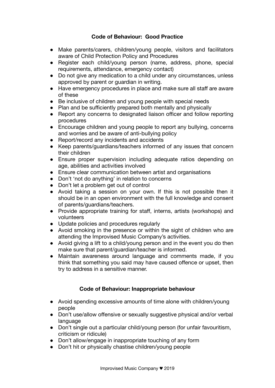#### **Code of Behaviour: Good Practice**

- Make parents/carers, children/young people, visitors and facilitators aware of Child Protection Policy and Procedures
- Register each child/young person (name, address, phone, special requirements, attendance, emergency contact)
- Do not give any medication to a child under any circumstances, unless approved by parent or guardian in writing.
- Have emergency procedures in place and make sure all staff are aware of these
- Be inclusive of children and young people with special needs
- Plan and be sufficiently prepared both mentally and physically
- Report any concerns to designated liaison officer and follow reporting procedures
- Encourage children and young people to report any bullying, concerns and worries and be aware of anti-bullying policy
- Report/record any incidents and accidents
- Keep parents/guardians/teachers informed of any issues that concern their children
- Ensure proper supervision including adequate ratios depending on age, abilities and activities involved
- Ensure clear communication between artist and organisations
- Don't 'not do anything' in relation to concerns
- Don't let a problem get out of control
- Avoid taking a session on your own. If this is not possible then it should be in an open environment with the full knowledge and consent of parents/guardians/teachers.
- Provide appropriate training for staff, interns, artists (workshops) and volunteers
- Update policies and procedures regularly
- Avoid smoking in the presence or within the sight of children who are attending the Improvised Music Company's activities.
- Avoid giving a lift to a child/young person and in the event you do then make sure that parent/guardian/teacher is informed.
- Maintain awareness around language and comments made, if you think that something you said may have caused offence or upset, then try to address in a sensitive manner.

#### **Code of Behaviour: Inappropriate behaviour**

- Avoid spending excessive amounts of time alone with children/young people
- Don't use/allow offensive or sexually suggestive physical and/or verbal language
- Don't single out a particular child/young person (for unfair favouritism, criticism or ridicule)
- Don't allow/engage in inappropriate touching of any form
- Don't hit or physically chastise children/young people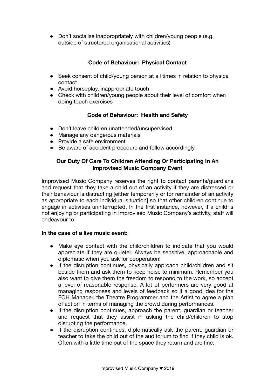● Don't socialise inappropriately with children/young people (e.g. outside of structured organisational activities)

#### **Code of Behaviour: Physical Contact**

- Seek consent of child/voung person at all times in relation to physical contact
- Avoid horseplay, inappropriate touch
- Check with children/young people about their level of comfort when doing touch exercises

#### **Code of Behaviour: Health and Safety**

- Don't leave children unattended/unsupervised
- Manage any dangerous materials
- Provide a safe environment
- Be aware of accident procedure and follow accordingly

#### **Our Duty Of Care To Children Attending Or Participating In An Improvised Music Company Event**

Improvised Music Company reserves the right to contact parents/guardians and request that they take a child out of an activity if they are distressed or their behaviour is distracting [either temporarily or for remainder of an activity as appropriate to each individual situationl so that other children continue to engage in activities uninterrupted. In the first instance, however, if a child is not enjoying or participating in Improvised Music Company's activity, staff will endeavour to:

#### **In the case of a live music event:**

- Make eye contact with the child/children to indicate that you would appreciate if they are quieter. Always be sensitive, approachable and diplomatic when you ask for cooperation!
- If the disruption continues, physically approach child/children and sit beside them and ask them to keep noise to minimum. Remember you also want to give them the freedom to respond to the work, so accept a level of reasonable response. A lot of performers are very good at managing responses and levels of feedback so it a good idea for the FOH Manager, the Theatre Programmer and the Artist to agree a plan of action in terms of managing the crowd during performances.
- If the disruption continues, approach the parent, quardian or teacher and request that they assist in asking the child/children to stop disrupting the performance.
- If the disruption continues, diplomatically ask the parent, guardian or teacher to take the child out of the auditorium to find if they child is ok. Often with a little time out of the space they return and are fine.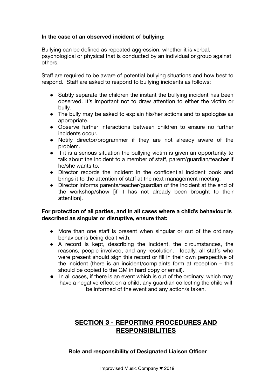#### **In the case of an observed incident of bullying:**

Bullying can be defined as repeated aggression, whether it is verbal, psychological or physical that is conducted by an individual or group against others.

Staff are required to be aware of potential bullying situations and how best to respond. Staff are asked to respond to bullying incidents as follows:

- Subtly separate the children the instant the bullying incident has been observed. It's important not to draw attention to either the victim or bully.
- The bully may be asked to explain his/her actions and to apologise as appropriate.
- Observe further interactions between children to ensure no further incidents occur.
- Notify director/programmer if they are not already aware of the problem.
- If it is a serious situation the bullying victim is given an opportunity to talk about the incident to a member of staff, parent/guardian/teacher if he/she wants to.
- Director records the incident in the confidential incident book and brings it to the attention of staff at the next management meeting.
- Director informs parents/teacher/guardian of the incident at the end of the workshop/show [if it has not already been brought to their attention].

#### **For protection of all parties, and in all cases where a child's behaviour is described as singular or disruptive, ensure that:**

- More than one staff is present when singular or out of the ordinary behaviour is being dealt with.
- A record is kept, describing the incident, the circumstances, the reasons, people involved, and any resolution. Ideally, all staffs who were present should sign this record or fill in their own perspective of the incident (there is an incident/complaints form at reception – this should be copied to the GM in hard copy or email).
- In all cases, if there is an event which is out of the ordinary, which may have a negative effect on a child, any guardian collecting the child will be informed of the event and any action/s taken.

# **SECTION 3 - REPORTING PROCEDURES AND RESPONSIBILITIES**

**Role and responsibility of Designated Liaison Officer**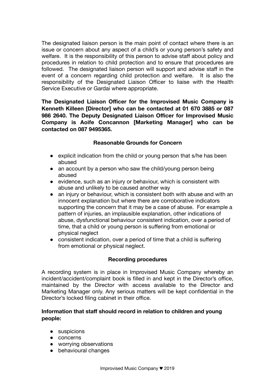The designated liaison person is the main point of contact where there is an issue or concern about any aspect of a child's or young person's safety and welfare. It is the responsibility of this person to advise staff about policy and procedures in relation to child protection and to ensure that procedures are followed. The designated liaison person will support and advise staff in the event of a concern regarding child protection and welfare. It is also the responsibility of the Designated Liaison Officer to liaise with the Health Service Executive or Gardai where appropriate.

**The Designated Liaison Officer for the Improvised Music Company is Kenneth Killeen [Director] who can be contacted at 01 670 3885 or 087 986 2640. The Deputy Designated Liaison Officer for Improvised Music Company is Aoife Concannon [Marketing Manager] who can be contacted on 087 9495365.** 

#### **Reasonable Grounds for Concern**

- explicit indication from the child or young person that s/he has been abused
- an account by a person who saw the child/young person being abused
- evidence, such as an injury or behaviour, which is consistent with abuse and unlikely to be caused another way
- an injury or behaviour, which is consistent both with abuse and with an innocent explanation but where there are corroborative indicators supporting the concern that it may be a case of abuse. For example a pattern of injuries, an implausible explanation, other indications of abuse, dysfunctional behaviour consistent indication, over a period of time, that a child or young person is suffering from emotional or physical neglect
- consistent indication, over a period of time that a child is suffering from emotional or physical neglect.

#### **Recording procedures**

A recording system is in place in Improvised Music Company whereby an incident/accident/complaint book is filled in and kept in the Director's office, maintained by the Director with access available to the Director and Marketing Manager only. Any serious matters will be kept confidential in the Director's locked filing cabinet in their office.

#### **Information that staff should record in relation to children and young people:**

- suspicions
- concerns
- worrying observations
- behavioural changes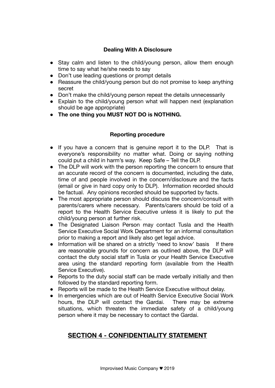#### **Dealing With A Disclosure**

- Stay calm and listen to the child/young person, allow them enough time to say what he/she needs to say
- Don't use leading questions or prompt details
- Reassure the child/young person but do not promise to keep anything secret
- Don't make the child/young person repeat the details unnecessarily
- Explain to the child/young person what will happen next (explanation should be age appropriate)
- **The one thing you MUST NOT DO is NOTHING.**

#### **Reporting procedure**

- If you have a concern that is genuine report it to the DLP. That is everyone's responsibility no matter what. Doing or saying nothing could put a child in harm's way. Keep Safe – Tell the DLP.
- The DLP will work with the person reporting the concern to ensure that an accurate record of the concern is documented, including the date, time of and people involved in the concern/disclosure and the facts (email or give in hard copy only to DLP). Information recorded should be factual. Any opinions recorded should be supported by facts.
- The most appropriate person should discuss the concern/consult with parents/carers where necessary. Parents/carers should be told of a report to the Health Service Executive unless it is likely to put the child/young person at further risk.
- The Designated Liaison Person may contact Tusla and the Health Service Executive Social Work Department for an informal consultation prior to making a report and likely also get legal advice.
- Information will be shared on a strictly 'need to know' basis If there are reasonable grounds for concern as outlined above, the DLP will contact the duty social staff in Tusla or your Health Service Executive area using the standard reporting form (available from the Health Service Executive).
- Reports to the duty social staff can be made verbally initially and then followed by the standard reporting form.
- Reports will be made to the Health Service Executive without delay.
- In emergencies which are out of Health Service Executive Social Work hours, the DLP will contact the Gardai. There may be extreme situations, which threaten the immediate safety of a child/young person where it may be necessary to contact the Gardai.

# **SECTION 4 - CONFIDENTIALITY STATEMENT**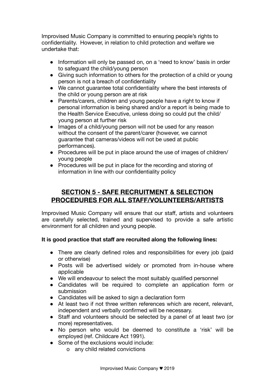Improvised Music Company is committed to ensuring people's rights to confidentiality. However, in relation to child protection and welfare we undertake that:

- Information will only be passed on, on a 'need to know' basis in order to safeguard the child/young person
- Giving such information to others for the protection of a child or young person is not a breach of confidentiality
- We cannot guarantee total confidentiality where the best interests of the child or young person are at risk
- Parents/carers, children and young people have a right to know if personal information is being shared and/or a report is being made to the Health Service Executive, unless doing so could put the child/ young person at further risk
- Images of a child/young person will not be used for any reason without the consent of the parent/carer (however, we cannot guarantee that cameras/videos will not be used at public performances).
- Procedures will be put in place around the use of images of children/ young people
- Procedures will be put in place for the recording and storing of information in line with our confidentiality policy

# **SECTION 5 - SAFE RECRUITMENT & SELECTION PROCEDURES FOR ALL STAFF/VOLUNTEERS/ARTISTS**

Improvised Music Company will ensure that our staff, artists and volunteers are carefully selected, trained and supervised to provide a safe artistic environment for all children and young people.

#### **It is good practice that staff are recruited along the following lines:**

- There are clearly defined roles and responsibilities for every job (paid or otherwise)
- Posts will be advertised widely or promoted from in-house where applicable
- We will endeavour to select the most suitably qualified personnel
- Candidates will be required to complete an application form or submission
- Candidates will be asked to sign a declaration form
- At least two if not three written references which are recent, relevant, independent and verbally confirmed will be necessary.
- Staff and volunteers should be selected by a panel of at least two (or more) representatives.
- No person who would be deemed to constitute a 'risk' will be employed (ref. Childcare Act 1991).
- Some of the exclusions would include:
	- o any child related convictions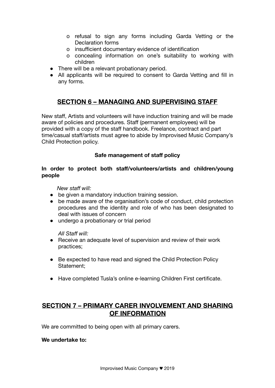- o refusal to sign any forms including Garda Vetting or the Declaration forms
- o insufficient documentary evidence of identification
- o concealing information on one's suitability to working with children
- There will be a relevant probationary period.
- All applicants will be required to consent to Garda Vetting and fill in any forms.

# **SECTION 6 – MANAGING AND SUPERVISING STAFF**

New staff, Artists and volunteers will have induction training and will be made aware of policies and procedures. Staff (permanent employees) will be provided with a copy of the staff handbook. Freelance, contract and part time/casual staff/artists must agree to abide by Improvised Music Company's Child Protection policy.

#### **Safe management of staff policy**

#### **In order to protect both staff/volunteers/artists and children/young people**

 *New staff will:* 

- be given a mandatory induction training session.
- be made aware of the organisation's code of conduct, child protection procedures and the identity and role of who has been designated to deal with issues of concern
- undergo a probationary or trial period

#### *All Staff will:*

- Receive an adequate level of supervision and review of their work practices;
- Be expected to have read and signed the Child Protection Policy Statement;
- Have completed Tusla's online e-learning Children First certificate.

# **SECTION 7 – PRIMARY CARER INVOLVEMENT AND SHARING OF INFORMATION**

We are committed to being open with all primary carers.

#### **We undertake to:**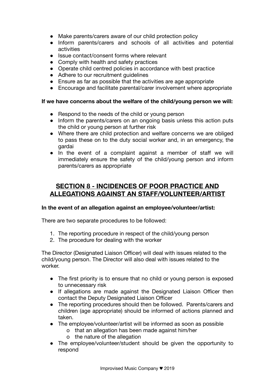- Make parents/carers aware of our child protection policy
- Inform parents/carers and schools of all activities and potential activities
- Issue contact/consent forms where relevant
- Comply with health and safety practices
- Operate child centred policies in accordance with best practice
- Adhere to our recruitment guidelines
- Ensure as far as possible that the activities are age appropriate
- Encourage and facilitate parental/carer involvement where appropriate

#### **If we have concerns about the welfare of the child/young person we will:**

- Respond to the needs of the child or young person
- Inform the parents/carers on an ongoing basis unless this action puts the child or young person at further risk
- Where there are child protection and welfare concerns we are obliged to pass these on to the duty social worker and, in an emergency, the gardai
- In the event of a complaint against a member of staff we will immediately ensure the safety of the child/young person and inform parents/carers as appropriate

# **SECTION 8 - INCIDENCES OF POOR PRACTICE AND ALLEGATIONS AGAINST AN STAFF/VOLUNTEER/ARTIST**

#### **In the event of an allegation against an employee/volunteer/artist:**

There are two separate procedures to be followed:

- 1. The reporting procedure in respect of the child/young person
- 2. The procedure for dealing with the worker

The Director (Designated Liaison Officer) will deal with issues related to the child/young person. The Director will also deal with issues related to the worker.

- The first priority is to ensure that no child or young person is exposed to unnecessary risk
- If allegations are made against the Designated Liaison Officer then contact the Deputy Designated Liaison Officer
- The reporting procedures should then be followed. Parents/carers and children (age appropriate) should be informed of actions planned and taken.
- The employee/volunteer/artist will be informed as soon as possible
	- o that an allegation has been made against him/her
	- o the nature of the allegation
- The employee/volunteer/student should be given the opportunity to respond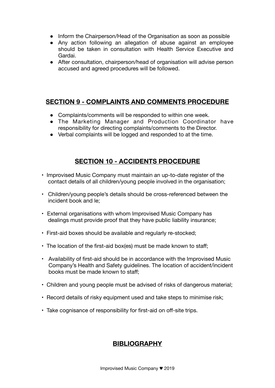- Inform the Chairperson/Head of the Organisation as soon as possible
- Any action following an allegation of abuse against an employee should be taken in consultation with Health Service Executive and Gardai.
- After consultation, chairperson/head of organisation will advise person accused and agreed procedures will be followed.

# **SECTION 9 - COMPLAINTS AND COMMENTS PROCEDURE**

- Complaints/comments will be responded to within one week.
- The Marketing Manager and Production Coordinator have responsibility for directing complaints/comments to the Director.
- Verbal complaints will be logged and responded to at the time.

# **SECTION 10 - ACCIDENTS PROCEDURE**

- Improvised Music Company must maintain an up-to-date register of the contact details of all children/young people involved in the organisation;
- Children/young people's details should be cross-referenced between the incident book and le;
- External organisations with whom Improvised Music Company has dealings must provide proof that they have public liability insurance;
- First-aid boxes should be available and regularly re-stocked;
- The location of the first-aid box(es) must be made known to staff;
- Availability of first-aid should be in accordance with the Improvised Music Company's Health and Safety guidelines. The location of accident/incident books must be made known to staff;
- Children and young people must be advised of risks of dangerous material;
- Record details of risky equipment used and take steps to minimise risk;
- Take cognisance of responsibility for first-aid on off-site trips.

# **BIBLIOGRAPHY**